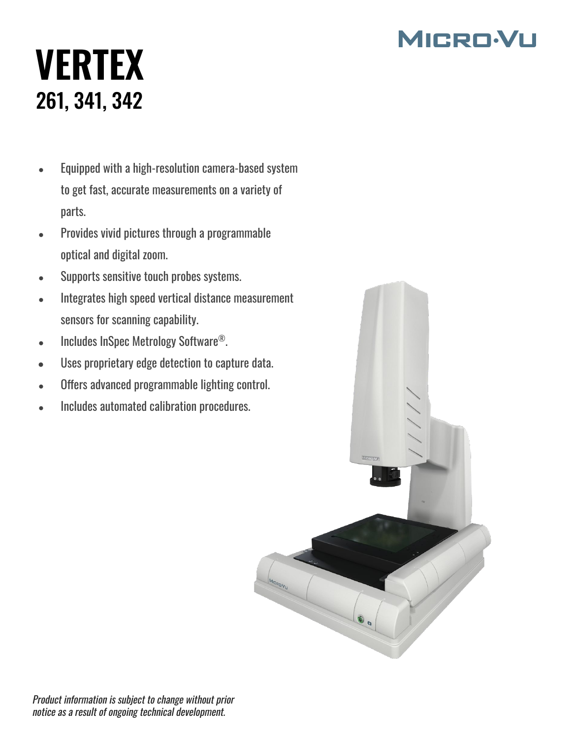# **MICRO·VU**

# **VERTEX** 261, 341, 342

- Equipped with a high-resolution camera-based system to get fast, accurate measurements on a variety of parts.
- Provides vivid pictures through a programmable optical and digital zoom.
- Supports sensitive touch probes systems.
- Integrates high speed vertical distance measurement sensors for scanning capability.
- Includes InSpec Metrology Software<sup>®</sup>.
- Uses proprietary edge detection to capture data.
- Offers advanced programmable lighting control.
- Includes automated calibration procedures.

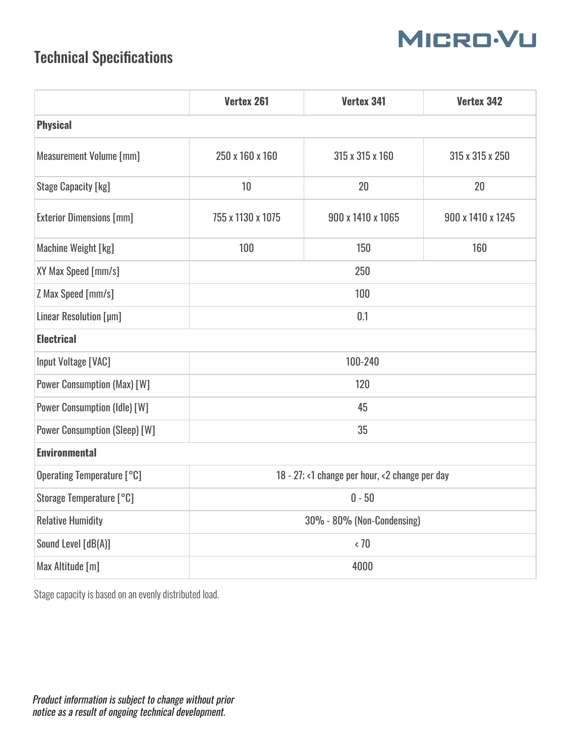

## Technical Specifications

|                                      | Vertex 261                                     | <b>Vertex 341</b> | <b>Vertex 342</b> |
|--------------------------------------|------------------------------------------------|-------------------|-------------------|
| <b>Physical</b>                      |                                                |                   |                   |
| <b>Measurement Volume [mm]</b>       | 250 x 160 x 160                                | 315 x 315 x 160   | 315 x 315 x 250   |
| <b>Stage Capacity [kg]</b>           | 10                                             | 20                | 20                |
| <b>Exterior Dimensions [mm]</b>      | 755 x 1130 x 1075                              | 900 x 1410 x 1065 | 900 x 1410 x 1245 |
| Machine Weight [kg]                  | 100                                            | 150               | 160               |
| XY Max Speed [mm/s]                  | 250                                            |                   |                   |
| Z Max Speed [mm/s]                   | 100                                            |                   |                   |
| Linear Resolution [µm]               | 0.1                                            |                   |                   |
| <b>Electrical</b>                    |                                                |                   |                   |
| Input Voltage [VAC]                  | 100-240                                        |                   |                   |
| <b>Power Consumption (Max) [W]</b>   | 120                                            |                   |                   |
| <b>Power Consumption (Idle) [W]</b>  | 45                                             |                   |                   |
| <b>Power Consumption (Sleep) [W]</b> | 35                                             |                   |                   |
| <b>Environmental</b>                 |                                                |                   |                   |
| Operating Temperature [°C]           | 18 - 27; <1 change per hour, <2 change per day |                   |                   |
| Storage Temperature [°C]             | $0 - 50$                                       |                   |                   |
| <b>Relative Humidity</b>             | 30% - 80% (Non-Condensing)                     |                   |                   |
| Sound Level [dB(A)]                  | < 70                                           |                   |                   |
| Max Altitude [m]                     | 4000                                           |                   |                   |

Stage capacity is based on an evenly distributed load.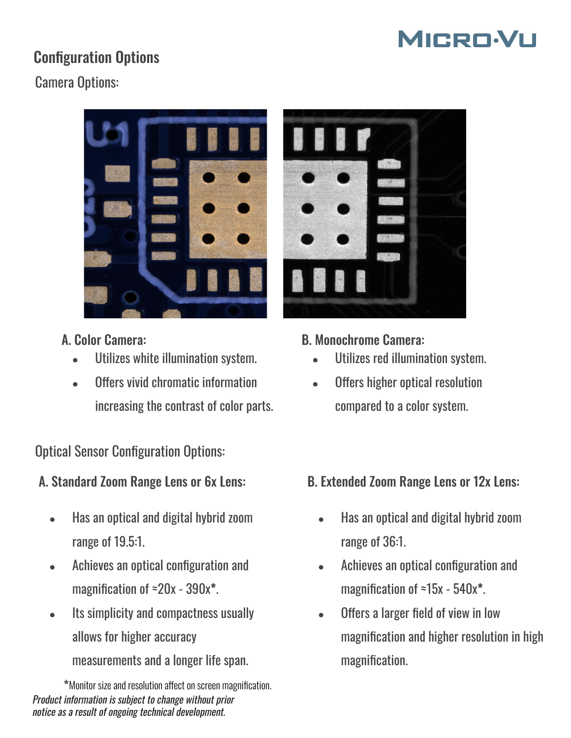# **MICRO-VU**

# Configuration Options

## Camera Options:



#### A. Color Camera:

- Utilizes white illumination system.
- Offers vivid chromatic information increasing the contrast of color parts.

### Optical Sensor Configuration Options:

#### A. Standard Zoom Range Lens or 6x Lens:

- Has an optical and digital hybrid zoom range of 19.5:1.
- Achieves an optical configuration and magnification of ≈20x - 390x**\***.
- Its simplicity and compactness usually allows for higher accuracy measurements and a longer life span.

Product information is subject to change without prior notice as a result of ongoing technical development. **\***Monitor size and resolution affect on screen magnification.



- B. Monochrome Camera:
	- Utilizes red illumination system.
	- Offers higher optical resolution compared to a color system.

#### B. Extended Zoom Range Lens or 12x Lens:

- Has an optical and digital hybrid zoom range of 36:1.
- Achieves an optical configuration and magnification of ≈15x - 540x**\***.
- Offers a larger field of view in low magnification and higher resolution in high magnification.